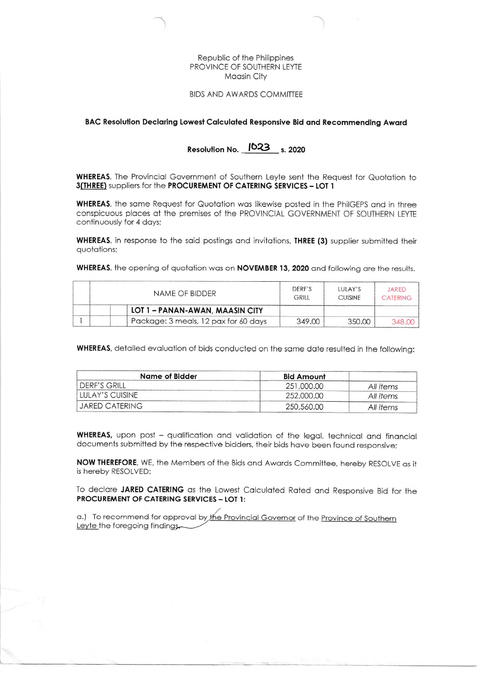### Republic of the Philippines PROVINCE OF SOUTHERN LEYTE **Maasin City**

#### **BIDS AND AWARDS COMMITTEE**

## BAC Resolution Declaring Lowest Calculated Responsive Bid and Recommending Award

# Resolution No. 1023 s. 2020

WHEREAS, The Provincial Government of Southern Leyte sent the Request for Quotation to 3(THREE) suppliers for the PROCUREMENT OF CATERING SERVICES - LOT 1

WHEREAS, the same Request for Quotation was likewise posted in the PhilGEPS and in three conspicuous places at the premises of the PROVINCIAL GOVERNMENT OF SOUTHERN LEYTE continuously for 4 days;

WHEREAS, in response to the said postings and invitations, THREE (3) supplier submitted their quotations;

WHEREAS, the opening of quotation was on NOVEMBER 13, 2020 and following are the results.

| NAME OF BIDDER                       | DERE'S<br>GRILL | <b>ILILAY'S</b><br><b>CUISINE</b> | <b>JARED</b><br>CATERING |
|--------------------------------------|-----------------|-----------------------------------|--------------------------|
| LOT 1 - PANAN-AWAN, MAASIN CITY      |                 |                                   |                          |
| Package: 3 meals, 12 pax for 60 days | 349.00          | 350 DD                            |                          |

WHEREAS, detailed evaluation of bids conducted on the same date resulted in the following:

| Name of Bidder            | <b>Bid Amount</b> |           |
|---------------------------|-------------------|-----------|
| <sup>I</sup> DERF'S GRILL | 251,000,00        | All items |
| LULAY'S CUISINE           | 252,000,00        | All items |
| JARED CATERING            | 250,560.00        | All items |

**WHEREAS**, upon post - qualification and validation of the legal, technical and financial documents submitted by the respective bidders, their bids have been found responsive;

NOW THEREFORE, WE, the Members of the Bids and Awards Committee, hereby RESOLVE as it is hereby RESOLVED:

To declare JARED CATERING as the Lowest Calculated Rated and Responsive Bid for the PROCUREMENT OF CATERING SERVICES - LOT 1:

a.) To recommend for approval by the Provincial Governor of the Province of Southern Leyte the foregoing findings.